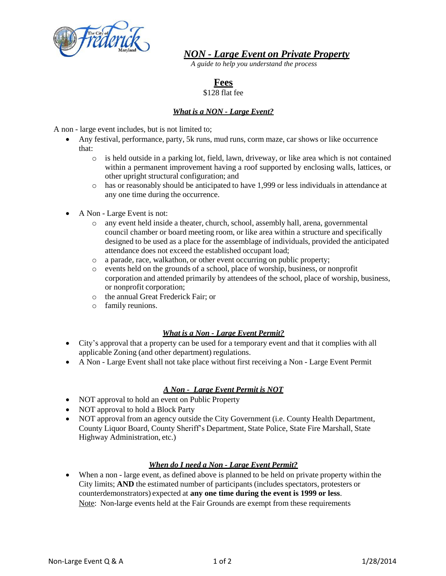

*NON - Large Event on Private Property*

*A guide to help you understand the process*

# **Fees**

## \$128 flat fee

# *What is a NON - Large Event?*

A non - large event includes, but is not limited to;

- Any festival, performance, party, 5k runs, mud runs, corm maze, car shows or like occurrence that:
	- $\circ$  is held outside in a parking lot, field, lawn, driveway, or like area which is not contained within a permanent improvement having a roof supported by enclosing walls, lattices, or other upright structural configuration; and
	- o has or reasonably should be anticipated to have 1,999 or less individuals in attendance at any one time during the occurrence.
- A Non Large Event is not:
	- o any event held inside a theater, church, school, assembly hall, arena, governmental council chamber or board meeting room, or like area within a structure and specifically designed to be used as a place for the assemblage of individuals, provided the anticipated attendance does not exceed the established occupant load;
	- o a parade, race, walkathon, or other event occurring on public property;
	- o events held on the grounds of a school, place of worship, business, or nonprofit corporation and attended primarily by attendees of the school, place of worship, business, or nonprofit corporation;
	- o the annual Great Frederick Fair; or
	- o family reunions.

# *What is a Non - Large Event Permit?*

- City's approval that a property can be used for a temporary event and that it complies with all applicable Zoning (and other department) regulations.
- A Non Large Event shall not take place without first receiving a Non Large Event Permit

# *A Non - Large Event Permit is NOT*

- NOT approval to hold an event on Public Property
- NOT approval to hold a Block Party
- NOT approval from an agency outside the City Government (i.e. County Health Department, County Liquor Board, County Sheriff's Department, State Police, State Fire Marshall, State Highway Administration, etc.)

# *When do I need a Non - Large Event Permit?*

 When a non - large event, as defined above is planned to be held on private property within the City limits; **AND** the estimated number of participants (includes spectators, protesters or counterdemonstrators) expected at **any one time during the event is 1999 or less**. Note: Non-large events held at the Fair Grounds are exempt from these requirements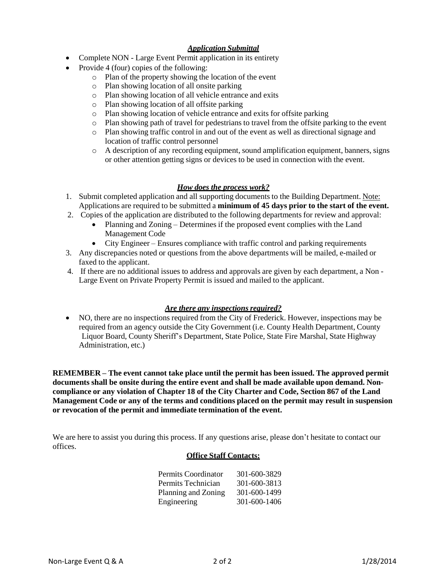## *Application Submittal*

- Complete NON Large Event Permit application in its entirety
- Provide 4 (four) copies of the following:
	- o Plan of the property showing the location of the event
	- o Plan showing location of all onsite parking
	- o Plan showing location of all vehicle entrance and exits
	- o Plan showing location of all offsite parking
	- o Plan showing location of vehicle entrance and exits for offsite parking
	- o Plan showing path of travel for pedestrians to travel from the offsite parking to the event
	- o Plan showing traffic control in and out of the event as well as directional signage and location of traffic control personnel
	- o A description of any recording equipment, sound amplification equipment, banners, signs or other attention getting signs or devices to be used in connection with the event.

## *How does the process work?*

- 1. Submit completed application and all supporting documents to the Building Department. Note: Applications are required to be submitted a **minimum of 45 days prior to the start of the event.**
- 2. Copies of the application are distributed to the following departments for review and approval:
	- Planning and Zoning Determines if the proposed event complies with the Land Management Code
	- City Engineer Ensures compliance with traffic control and parking requirements
- 3. Any discrepancies noted or questions from the above departments will be mailed, e-mailed or faxed to the applicant.
- 4. If there are no additional issues to address and approvals are given by each department, a Non Large Event on Private Property Permit is issued and mailed to the applicant.

### *Are there any inspections required?*

 NO, there are no inspections required from the City of Frederick. However, inspections may be required from an agency outside the City Government (i.e. County Health Department, County Liquor Board, County Sheriff's Department, State Police, State Fire Marshal, State Highway Administration, etc.)

**REMEMBER – The event cannot take place until the permit has been issued. The approved permit documents shall be onsite during the entire event and shall be made available upon demand. Noncompliance or any violation of Chapter 18 of the City Charter and Code, Section 867 of the Land Management Code or any of the terms and conditions placed on the permit may result in suspension or revocation of the permit and immediate termination of the event.**

We are here to assist you during this process. If any questions arise, please don't hesitate to contact our offices.

### **Office Staff Contacts:**

| Permits Coordinator | 301-600-3829 |
|---------------------|--------------|
| Permits Technician  | 301-600-3813 |
| Planning and Zoning | 301-600-1499 |
| Engineering         | 301-600-1406 |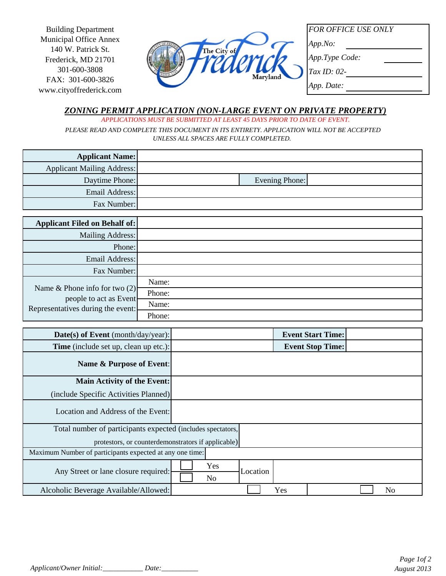Building Department Municipal Office Annex 140 W. Patrick St. Frederick, MD 21701 301-600-3808 FAX: 301-600-3826 www.cityoffrederick.com



*FOR OFFICE USE ONLY*

*App.No:*

*App.Type Code:*

*Tax ID: 02-*

*App. Date:*

### *ZONING PERMIT APPLICATION (NON-LARGE EVENT ON PRIVATE PROPERTY) APPLICATIONS MUST BE SUBMITTED AT LEAST 45 DAYS PRIOR TO DATE OF EVENT.*

 *PLEASE READ AND COMPLETE THIS DOCUMENT IN ITS ENTIRETY. APPLICATION WILL NOT BE ACCEPTED UNLESS ALL SPACES ARE FULLY COMPLETED.* 

| <b>Applicant Name:</b>            |                |  |
|-----------------------------------|----------------|--|
| <b>Applicant Mailing Address:</b> |                |  |
| Daytime Phone:                    | Evening Phone: |  |
| Email Address:                    |                |  |
| Fax Number:                       |                |  |

| <b>Applicant Filed on Behalf of:</b>                                                            |        |
|-------------------------------------------------------------------------------------------------|--------|
| Mailing Address:                                                                                |        |
| Phone:                                                                                          |        |
| Email Address:                                                                                  |        |
| Fax Number:                                                                                     |        |
| Name & Phone info for two $(2)$<br>people to act as Event-<br>Representatives during the event: | Name:  |
|                                                                                                 | Phone: |
|                                                                                                 | Name:  |
|                                                                                                 | Phone: |

| Date(s) of Event (month/day/year):                          | <b>Event Start Time:</b>          |  |  |
|-------------------------------------------------------------|-----------------------------------|--|--|
| Time (include set up, clean up etc.):                       | <b>Event Stop Time:</b>           |  |  |
| Name & Purpose of Event:                                    |                                   |  |  |
| Main Activity of the Event:                                 |                                   |  |  |
| (include Specific Activities Planned)                       |                                   |  |  |
| Location and Address of the Event:                          |                                   |  |  |
| Total number of participants expected (includes spectators, |                                   |  |  |
| protestors, or counterdemonstrators if applicable)          |                                   |  |  |
| Maximum Number of participants expected at any one time:    |                                   |  |  |
| Any Street or lane closure required:                        | Yes<br>Location<br>N <sub>o</sub> |  |  |
| Alcoholic Beverage Available/Allowed:                       | N <sub>o</sub><br>Yes             |  |  |